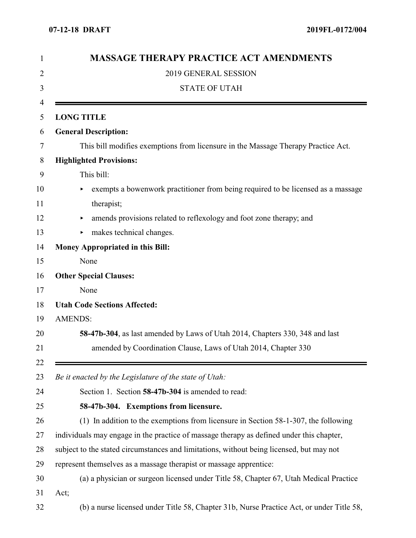| 1  | <b>MASSAGE THERAPY PRACTICE ACT AMENDMENTS</b><br>2019 GENERAL SESSION<br>2              |  |  |  |  |  |  |
|----|------------------------------------------------------------------------------------------|--|--|--|--|--|--|
|    |                                                                                          |  |  |  |  |  |  |
| 3  | <b>STATE OF UTAH</b>                                                                     |  |  |  |  |  |  |
| 4  |                                                                                          |  |  |  |  |  |  |
| 5  | <b>LONG TITLE</b>                                                                        |  |  |  |  |  |  |
| 6  | <b>General Description:</b>                                                              |  |  |  |  |  |  |
| 7  | This bill modifies exemptions from licensure in the Massage Therapy Practice Act.        |  |  |  |  |  |  |
| 8  | <b>Highlighted Provisions:</b>                                                           |  |  |  |  |  |  |
| 9  | This bill:                                                                               |  |  |  |  |  |  |
| 10 | exempts a bowenwork practitioner from being required to be licensed as a massage         |  |  |  |  |  |  |
| 11 | therapist;                                                                               |  |  |  |  |  |  |
| 12 | amends provisions related to reflexology and foot zone therapy; and<br>٠                 |  |  |  |  |  |  |
| 13 | makes technical changes.                                                                 |  |  |  |  |  |  |
| 14 | <b>Money Appropriated in this Bill:</b>                                                  |  |  |  |  |  |  |
| 15 | None                                                                                     |  |  |  |  |  |  |
| 16 | <b>Other Special Clauses:</b>                                                            |  |  |  |  |  |  |
| 17 | None                                                                                     |  |  |  |  |  |  |
| 18 | <b>Utah Code Sections Affected:</b>                                                      |  |  |  |  |  |  |
| 19 | <b>AMENDS:</b>                                                                           |  |  |  |  |  |  |
| 20 | 58-47b-304, as last amended by Laws of Utah 2014, Chapters 330, 348 and last             |  |  |  |  |  |  |
| 21 | amended by Coordination Clause, Laws of Utah 2014, Chapter 330                           |  |  |  |  |  |  |
| 22 |                                                                                          |  |  |  |  |  |  |
| 23 | Be it enacted by the Legislature of the state of Utah:                                   |  |  |  |  |  |  |
| 24 | Section 1. Section 58-47b-304 is amended to read:                                        |  |  |  |  |  |  |
| 25 | 58-47b-304. Exemptions from licensure.                                                   |  |  |  |  |  |  |
| 26 | (1) In addition to the exemptions from licensure in Section 58-1-307, the following      |  |  |  |  |  |  |
| 27 | individuals may engage in the practice of massage therapy as defined under this chapter, |  |  |  |  |  |  |
| 28 | subject to the stated circumstances and limitations, without being licensed, but may not |  |  |  |  |  |  |
| 29 | represent themselves as a massage therapist or massage apprentice:                       |  |  |  |  |  |  |
| 30 | (a) a physician or surgeon licensed under Title 58, Chapter 67, Utah Medical Practice    |  |  |  |  |  |  |
| 31 | Act;                                                                                     |  |  |  |  |  |  |
| 32 | (b) a nurse licensed under Title 58, Chapter 31b, Nurse Practice Act, or under Title 58, |  |  |  |  |  |  |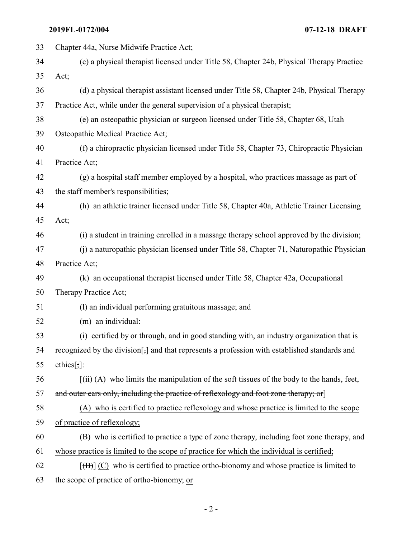**2019FL-0172/004 07-12-18 DRAFT**

| 33 | Chapter 44a, Nurse Midwife Practice Act;                                                                       |  |  |  |  |
|----|----------------------------------------------------------------------------------------------------------------|--|--|--|--|
| 34 | (c) a physical therapist licensed under Title 58, Chapter 24b, Physical Therapy Practice                       |  |  |  |  |
| 35 | Act;                                                                                                           |  |  |  |  |
| 36 | (d) a physical therapist assistant licensed under Title 58, Chapter 24b, Physical Therapy                      |  |  |  |  |
| 37 | Practice Act, while under the general supervision of a physical therapist;                                     |  |  |  |  |
| 38 | (e) an osteopathic physician or surgeon licensed under Title 58, Chapter 68, Utah                              |  |  |  |  |
| 39 | Osteopathic Medical Practice Act;                                                                              |  |  |  |  |
| 40 | (f) a chiropractic physician licensed under Title 58, Chapter 73, Chiropractic Physician                       |  |  |  |  |
| 41 | Practice Act;                                                                                                  |  |  |  |  |
| 42 | (g) a hospital staff member employed by a hospital, who practices massage as part of                           |  |  |  |  |
| 43 | the staff member's responsibilities;                                                                           |  |  |  |  |
| 44 | (h) an athletic trainer licensed under Title 58, Chapter 40a, Athletic Trainer Licensing                       |  |  |  |  |
| 45 | Act;                                                                                                           |  |  |  |  |
| 46 | (i) a student in training enrolled in a massage therapy school approved by the division;                       |  |  |  |  |
| 47 | (i) a naturopathic physician licensed under Title 58, Chapter 71, Naturopathic Physician                       |  |  |  |  |
| 48 | Practice Act;                                                                                                  |  |  |  |  |
| 49 | (k) an occupational therapist licensed under Title 58, Chapter 42a, Occupational                               |  |  |  |  |
| 50 | Therapy Practice Act;                                                                                          |  |  |  |  |
| 51 | (1) an individual performing gratuitous massage; and                                                           |  |  |  |  |
| 52 | (m) an individual:                                                                                             |  |  |  |  |
| 53 | (i) certified by or through, and in good standing with, an industry organization that is                       |  |  |  |  |
| 54 | recognized by the division[;] and that represents a profession with established standards and                  |  |  |  |  |
| 55 | ethics $[\cdot]$ :                                                                                             |  |  |  |  |
| 56 | $\left[\right(\text{iii}) (A)$ who limits the manipulation of the soft tissues of the body to the hands, feet, |  |  |  |  |
| 57 | and outer ears only, including the practice of reflexology and foot zone therapy; or                           |  |  |  |  |
| 58 | (A) who is certified to practice reflexology and whose practice is limited to the scope                        |  |  |  |  |
| 59 | of practice of reflexology;                                                                                    |  |  |  |  |
| 60 | (B) who is certified to practice a type of zone therapy, including foot zone therapy, and                      |  |  |  |  |
| 61 | whose practice is limited to the scope of practice for which the individual is certified;                      |  |  |  |  |
| 62 | $[\overline{(B)}]$ (C) who is certified to practice ortho-bionomy and whose practice is limited to             |  |  |  |  |
| 63 | the scope of practice of ortho-bionomy; or                                                                     |  |  |  |  |